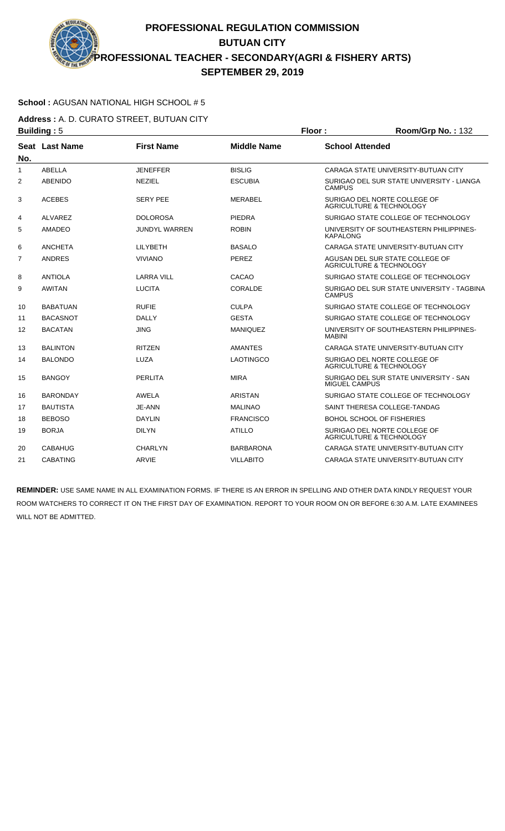#### **School :** AGUSAN NATIONAL HIGH SCHOOL # 5

**Address :** A. D. CURATO STREET, BUTUAN CITY **Building :** 5 **Floor : Room/Grp No. :** 132

|                |                       |                      | .                  |                                                                     |
|----------------|-----------------------|----------------------|--------------------|---------------------------------------------------------------------|
| No.            | <b>Seat Last Name</b> | <b>First Name</b>    | <b>Middle Name</b> | <b>School Attended</b>                                              |
| 1              | <b>ABELLA</b>         | <b>JENEFFER</b>      | <b>BISLIG</b>      | CARAGA STATE UNIVERSITY-BUTUAN CITY                                 |
| $\overline{2}$ | <b>ABENIDO</b>        | <b>NEZIEL</b>        | <b>ESCUBIA</b>     | SURIGAO DEL SUR STATE UNIVERSITY - LIANGA<br><b>CAMPUS</b>          |
| 3              | <b>ACEBES</b>         | <b>SERY PEE</b>      | MERABEL            | SURIGAO DEL NORTE COLLEGE OF<br><b>AGRICULTURE &amp; TECHNOLOGY</b> |
| 4              | ALVAREZ               | <b>DOLOROSA</b>      | <b>PIEDRA</b>      | SURIGAO STATE COLLEGE OF TECHNOLOGY                                 |
| 5              | <b>AMADEO</b>         | <b>JUNDYL WARREN</b> | <b>ROBIN</b>       | UNIVERSITY OF SOUTHEASTERN PHILIPPINES-<br><b>KAPALONG</b>          |
| 6              | <b>ANCHETA</b>        | LILYBETH             | <b>BASALO</b>      | CARAGA STATE UNIVERSITY-BUTUAN CITY                                 |
| 7              | <b>ANDRES</b>         | <b>VIVIANO</b>       | PEREZ              | AGUSAN DEL SUR STATE COLLEGE OF<br>AGRICULTURE & TECHNOLOGY         |
| 8              | <b>ANTIOLA</b>        | <b>LARRA VILL</b>    | CACAO              | SURIGAO STATE COLLEGE OF TECHNOLOGY                                 |
| 9              | <b>AWITAN</b>         | <b>LUCITA</b>        | CORALDE            | SURIGAO DEL SUR STATE UNIVERSITY - TAGBINA<br><b>CAMPUS</b>         |
| 10             | <b>BABATUAN</b>       | <b>RUFIE</b>         | <b>CULPA</b>       | SURIGAO STATE COLLEGE OF TECHNOLOGY                                 |
| 11             | <b>BACASNOT</b>       | <b>DALLY</b>         | <b>GESTA</b>       | SURIGAO STATE COLLEGE OF TECHNOLOGY                                 |
| 12             | <b>BACATAN</b>        | <b>JING</b>          | <b>MANIQUEZ</b>    | UNIVERSITY OF SOUTHEASTERN PHILIPPINES-<br><b>MABINI</b>            |
| 13             | <b>BALINTON</b>       | <b>RITZEN</b>        | <b>AMANTES</b>     | CARAGA STATE UNIVERSITY-BUTUAN CITY                                 |
| 14             | <b>BALONDO</b>        | LUZA                 | LAOTINGCO          | SURIGAO DEL NORTE COLLEGE OF<br><b>AGRICULTURE &amp; TECHNOLOGY</b> |
| 15             | <b>BANGOY</b>         | PERLITA              | <b>MIRA</b>        | SURIGAO DEL SUR STATE UNIVERSITY - SAN<br>MIGUEL CAMPUS             |
| 16             | <b>BARONDAY</b>       | <b>AWELA</b>         | ARISTAN            | SURIGAO STATE COLLEGE OF TECHNOLOGY                                 |
| 17             | <b>BAUTISTA</b>       | JE-ANN               | <b>MALINAO</b>     | SAINT THERESA COLLEGE-TANDAG                                        |
| 18             | <b>BEBOSO</b>         | <b>DAYLIN</b>        | <b>FRANCISCO</b>   | <b>BOHOL SCHOOL OF FISHERIES</b>                                    |
| 19             | <b>BORJA</b>          | <b>DILYN</b>         | <b>ATILLO</b>      | SURIGAO DEL NORTE COLLEGE OF<br><b>AGRICULTURE &amp; TECHNOLOGY</b> |
| 20             | CABAHUG               | <b>CHARLYN</b>       | <b>BARBARONA</b>   | CARAGA STATE UNIVERSITY-BUTUAN CITY                                 |
| 21             | <b>CABATING</b>       | ARVIE                | <b>VILLABITO</b>   | CARAGA STATE UNIVERSITY-BUTUAN CITY                                 |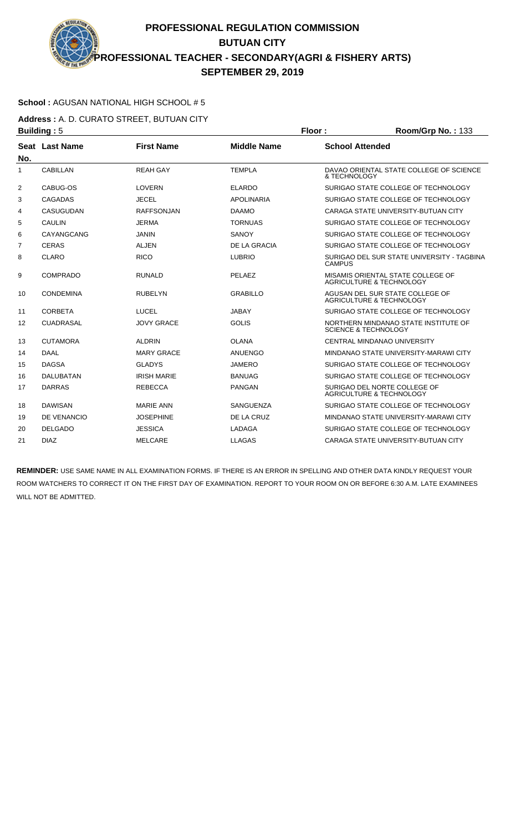### **School :** AGUSAN NATIONAL HIGH SCHOOL # 5

**Address :** A. D. CURATO STREET, BUTUAN CITY **Building :** 5 **Floor : Room/Grp No. :** 133

| No.            | Seat Last Name   | <b>First Name</b>  | <b>Middle Name</b> | <b>School Attended</b>                                                   |
|----------------|------------------|--------------------|--------------------|--------------------------------------------------------------------------|
| 1              | <b>CABILLAN</b>  | <b>REAH GAY</b>    | <b>TEMPLA</b>      | DAVAO ORIENTAL STATE COLLEGE OF SCIENCE<br>& TECHNOLOGY                  |
| $\overline{2}$ | CABUG-OS         | <b>LOVERN</b>      | <b>ELARDO</b>      | SURIGAO STATE COLLEGE OF TECHNOLOGY                                      |
| 3              | <b>CAGADAS</b>   | <b>JECEL</b>       | <b>APOLINARIA</b>  | SURIGAO STATE COLLEGE OF TECHNOLOGY                                      |
| 4              | <b>CASUGUDAN</b> | <b>RAFFSONJAN</b>  | <b>DAAMO</b>       | CARAGA STATE UNIVERSITY-BUTUAN CITY                                      |
| 5              | <b>CAULIN</b>    | <b>JERMA</b>       | <b>TORNUAS</b>     | SURIGAO STATE COLLEGE OF TECHNOLOGY                                      |
| 6              | CAYANGCANG       | <b>JANIN</b>       | <b>SANOY</b>       | SURIGAO STATE COLLEGE OF TECHNOLOGY                                      |
| 7              | <b>CERAS</b>     | ALJEN              | DE LA GRACIA       | SURIGAO STATE COLLEGE OF TECHNOLOGY                                      |
| 8              | CLARO            | <b>RICO</b>        | <b>LUBRIO</b>      | SURIGAO DEL SUR STATE UNIVERSITY - TAGBINA<br><b>CAMPUS</b>              |
| 9              | <b>COMPRADO</b>  | <b>RUNALD</b>      | PELAEZ             | MISAMIS ORIENTAL STATE COLLEGE OF<br><b>AGRICULTURE &amp; TECHNOLOGY</b> |
| 10             | <b>CONDEMINA</b> | <b>RUBELYN</b>     | <b>GRABILLO</b>    | AGUSAN DEL SUR STATE COLLEGE OF<br><b>AGRICULTURE &amp; TECHNOLOGY</b>   |
| 11             | <b>CORBETA</b>   | <b>LUCEL</b>       | <b>JABAY</b>       | SURIGAO STATE COLLEGE OF TECHNOLOGY                                      |
| 12             | <b>CUADRASAL</b> | <b>JOVY GRACE</b>  | <b>GOLIS</b>       | NORTHERN MINDANAO STATE INSTITUTE OF<br><b>SCIENCE &amp; TECHNOLOGY</b>  |
| 13             | <b>CUTAMORA</b>  | <b>ALDRIN</b>      | <b>OLANA</b>       | CENTRAL MINDANAO UNIVERSITY                                              |
| 14             | <b>DAAL</b>      | <b>MARY GRACE</b>  | <b>ANUENGO</b>     | MINDANAO STATE UNIVERSITY-MARAWI CITY                                    |
| 15             | <b>DAGSA</b>     | <b>GLADYS</b>      | <b>JAMERO</b>      | SURIGAO STATE COLLEGE OF TECHNOLOGY                                      |
| 16             | <b>DALUBATAN</b> | <b>IRISH MARIE</b> | <b>BANUAG</b>      | SURIGAO STATE COLLEGE OF TECHNOLOGY                                      |
| 17             | <b>DARRAS</b>    | <b>REBECCA</b>     | <b>PANGAN</b>      | SURIGAO DEL NORTE COLLEGE OF<br><b>AGRICULTURE &amp; TECHNOLOGY</b>      |
| 18             | <b>DAWISAN</b>   | <b>MARIE ANN</b>   | SANGUENZA          | SURIGAO STATE COLLEGE OF TECHNOLOGY                                      |
| 19             | DE VENANCIO      | <b>JOSEPHINE</b>   | DE LA CRUZ         | MINDANAO STATE UNIVERSITY-MARAWI CITY                                    |
| 20             | <b>DELGADO</b>   | <b>JESSICA</b>     | <b>LADAGA</b>      | SURIGAO STATE COLLEGE OF TECHNOLOGY                                      |
| 21             | <b>DIAZ</b>      | <b>MELCARE</b>     | <b>LLAGAS</b>      | CARAGA STATE UNIVERSITY-BUTUAN CITY                                      |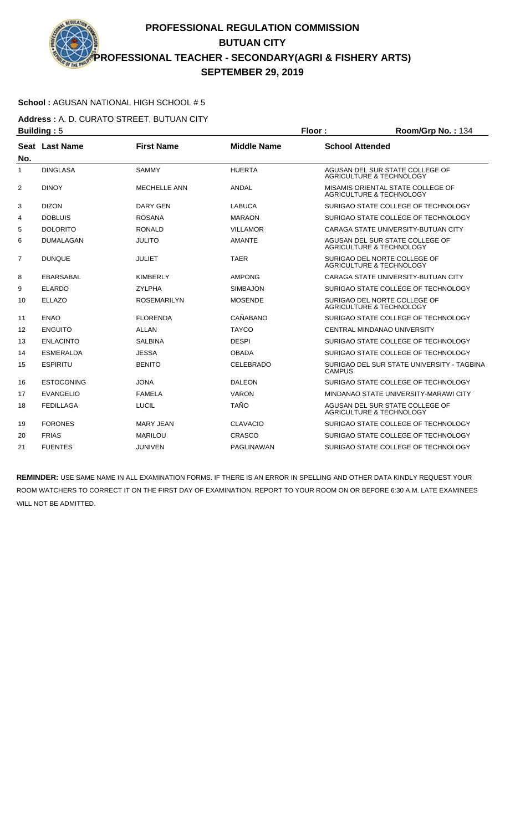#### **School :** AGUSAN NATIONAL HIGH SCHOOL # 5

**Address :** A. D. CURATO STREET, BUTUAN CITY **Building :** 5 **Floor : Room/Grp No. :** 134

| No.            | Seat Last Name    | <b>First Name</b>   | <b>Middle Name</b> | <b>School Attended</b>                                                   |
|----------------|-------------------|---------------------|--------------------|--------------------------------------------------------------------------|
| 1              | <b>DINGLASA</b>   | <b>SAMMY</b>        | <b>HUERTA</b>      | AGUSAN DEL SUR STATE COLLEGE OF<br><b>AGRICULTURE &amp; TECHNOLOGY</b>   |
| 2              | <b>DINOY</b>      | <b>MECHELLE ANN</b> | ANDAL              | MISAMIS ORIENTAL STATE COLLEGE OF<br><b>AGRICULTURE &amp; TECHNOLOGY</b> |
| 3              | <b>DIZON</b>      | <b>DARY GEN</b>     | <b>LABUCA</b>      | SURIGAO STATE COLLEGE OF TECHNOLOGY                                      |
| 4              | <b>DOBLUIS</b>    | <b>ROSANA</b>       | <b>MARAON</b>      | SURIGAO STATE COLLEGE OF TECHNOLOGY                                      |
| 5              | <b>DOLORITO</b>   | <b>RONALD</b>       | <b>VILLAMOR</b>    | CARAGA STATE UNIVERSITY-BUTUAN CITY                                      |
| 6              | <b>DUMALAGAN</b>  | <b>JULITO</b>       | <b>AMANTE</b>      | AGUSAN DEL SUR STATE COLLEGE OF<br>AGRICULTURE & TECHNOLOGY              |
| $\overline{7}$ | <b>DUNQUE</b>     | <b>JULIET</b>       | <b>TAER</b>        | SURIGAO DEL NORTE COLLEGE OF<br>AGRICULTURE & TECHNOLOGY                 |
| 8              | <b>EBARSABAL</b>  | <b>KIMBERLY</b>     | <b>AMPONG</b>      | CARAGA STATE UNIVERSITY-BUTUAN CITY                                      |
| 9              | <b>ELARDO</b>     | <b>ZYLPHA</b>       | <b>SIMBAJON</b>    | SURIGAO STATE COLLEGE OF TECHNOLOGY                                      |
| 10             | <b>ELLAZO</b>     | <b>ROSEMARILYN</b>  | <b>MOSENDE</b>     | SURIGAO DEL NORTE COLLEGE OF<br>AGRICULTURE & TECHNOLOGY                 |
| 11             | <b>ENAO</b>       | <b>FLORENDA</b>     | CAÑABANO           | SURIGAO STATE COLLEGE OF TECHNOLOGY                                      |
| 12             | <b>ENGUITO</b>    | ALLAN               | <b>TAYCO</b>       | <b>CENTRAL MINDANAO UNIVERSITY</b>                                       |
| 13             | <b>ENLACINTO</b>  | <b>SALBINA</b>      | <b>DESPI</b>       | SURIGAO STATE COLLEGE OF TECHNOLOGY                                      |
| 14             | <b>ESMERALDA</b>  | <b>JESSA</b>        | <b>OBADA</b>       | SURIGAO STATE COLLEGE OF TECHNOLOGY                                      |
| 15             | <b>ESPIRITU</b>   | <b>BENITO</b>       | <b>CELEBRADO</b>   | SURIGAO DEL SUR STATE UNIVERSITY - TAGBINA<br>CAMPUS                     |
| 16             | <b>ESTOCONING</b> | <b>JONA</b>         | <b>DALEON</b>      | SURIGAO STATE COLLEGE OF TECHNOLOGY                                      |
| 17             | <b>EVANGELIO</b>  | <b>FAMELA</b>       | <b>VARON</b>       | MINDANAO STATE UNIVERSITY-MARAWI CITY                                    |
| 18             | <b>FEDILLAGA</b>  | LUCIL               | <b>TAÑO</b>        | AGUSAN DEL SUR STATE COLLEGE OF<br>AGRICULTURE & TECHNOLOGY              |
| 19             | <b>FORONES</b>    | <b>MARY JEAN</b>    | <b>CLAVACIO</b>    | SURIGAO STATE COLLEGE OF TECHNOLOGY                                      |
| 20             | <b>FRIAS</b>      | <b>MARILOU</b>      | CRASCO             | SURIGAO STATE COLLEGE OF TECHNOLOGY                                      |
| 21             | <b>FUENTES</b>    | <b>JUNIVEN</b>      | PAGLINAWAN         | SURIGAO STATE COLLEGE OF TECHNOLOGY                                      |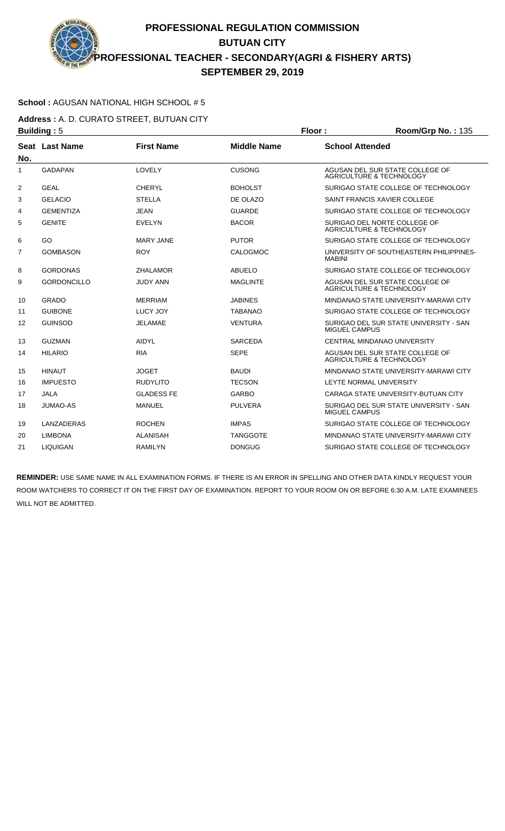#### **School :** AGUSAN NATIONAL HIGH SCHOOL # 5

**Address :** A. D. CURATO STREET, BUTUAN CITY **Building :** 5 **Floor : Room/Grp No. :** 135

| No.            | Seat Last Name     | <b>First Name</b> | <b>Middle Name</b> | <b>School Attended</b>                                                 |
|----------------|--------------------|-------------------|--------------------|------------------------------------------------------------------------|
| $\mathbf{1}$   | <b>GADAPAN</b>     | LOVELY            | <b>CUSONG</b>      | AGUSAN DEL SUR STATE COLLEGE OF<br><b>AGRICULTURE &amp; TECHNOLOGY</b> |
| $\overline{2}$ | <b>GEAL</b>        | <b>CHERYL</b>     | <b>BOHOLST</b>     | SURIGAO STATE COLLEGE OF TECHNOLOGY                                    |
| 3              | <b>GELACIO</b>     | <b>STELLA</b>     | DE OLAZO           | SAINT FRANCIS XAVIER COLLEGE                                           |
| 4              | <b>GEMENTIZA</b>   | <b>JEAN</b>       | <b>GUARDE</b>      | SURIGAO STATE COLLEGE OF TECHNOLOGY                                    |
| 5              | <b>GENITE</b>      | <b>EVELYN</b>     | <b>BACOR</b>       | SURIGAO DEL NORTE COLLEGE OF<br>AGRICULTURE & TECHNOLOGY               |
| 6              | GO                 | <b>MARY JANE</b>  | <b>PUTOR</b>       | SURIGAO STATE COLLEGE OF TECHNOLOGY                                    |
| $\overline{7}$ | <b>GOMBASON</b>    | <b>ROY</b>        | <b>CALOGMOC</b>    | UNIVERSITY OF SOUTHEASTERN PHILIPPINES-<br><b>MABINI</b>               |
| 8              | <b>GORDONAS</b>    | <b>ZHALAMOR</b>   | <b>ABUELO</b>      | SURIGAO STATE COLLEGE OF TECHNOLOGY                                    |
| 9              | <b>GORDONCILLO</b> | <b>JUDY ANN</b>   | MAGLINTE           | AGUSAN DEL SUR STATE COLLEGE OF<br><b>AGRICULTURE &amp; TECHNOLOGY</b> |
| 10             | <b>GRADO</b>       | <b>MERRIAM</b>    | <b>JABINES</b>     | MINDANAO STATE UNIVERSITY-MARAWI CITY                                  |
| 11             | <b>GUIBONE</b>     | LUCY JOY          | <b>TABANAO</b>     | SURIGAO STATE COLLEGE OF TECHNOLOGY                                    |
| 12             | <b>GUINSOD</b>     | <b>JELAMAE</b>    | <b>VENTURA</b>     | SURIGAO DEL SUR STATE UNIVERSITY - SAN<br><b>MIGUEL CAMPUS</b>         |
| 13             | <b>GUZMAN</b>      | <b>AIDYL</b>      | <b>SARCEDA</b>     | CENTRAL MINDANAO UNIVERSITY                                            |
| 14             | <b>HILARIO</b>     | <b>RIA</b>        | <b>SEPE</b>        | AGUSAN DEL SUR STATE COLLEGE OF<br><b>AGRICULTURE &amp; TECHNOLOGY</b> |
| 15             | <b>HINAUT</b>      | <b>JOGET</b>      | <b>BAUDI</b>       | MINDANAO STATE UNIVERSITY-MARAWI CITY                                  |
| 16             | <b>IMPUESTO</b>    | <b>RUDYLITO</b>   | <b>TECSON</b>      | LEYTE NORMAL UNIVERSITY                                                |
| 17             | <b>JALA</b>        | <b>GLADESS FE</b> | <b>GARBO</b>       | CARAGA STATE UNIVERSITY-BUTUAN CITY                                    |
| 18             | <b>JUMAO-AS</b>    | <b>MANUEL</b>     | <b>PULVERA</b>     | SURIGAO DEL SUR STATE UNIVERSITY - SAN<br><b>MIGUEL CAMPUS</b>         |
| 19             | LANZADERAS         | <b>ROCHEN</b>     | <b>IMPAS</b>       | SURIGAO STATE COLLEGE OF TECHNOLOGY                                    |
| 20             | LIMBONA            | ALANISAH          | TANGGOTE           | MINDANAO STATE UNIVERSITY-MARAWI CITY                                  |
| 21             | <b>LIQUIGAN</b>    | <b>RAMILYN</b>    | <b>DONGUG</b>      | SURIGAO STATE COLLEGE OF TECHNOLOGY                                    |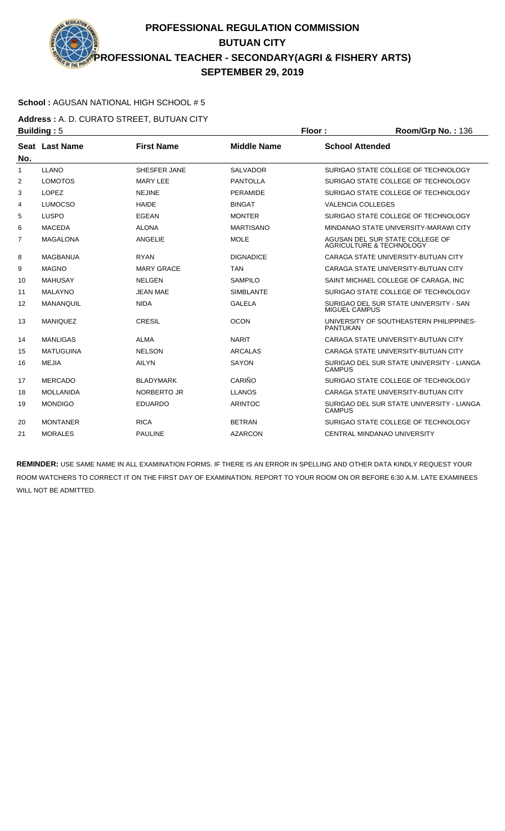### **School :** AGUSAN NATIONAL HIGH SCHOOL # 5

**Address :** A. D. CURATO STREET, BUTUAN CITY **Building :** 5 **Floor : Room/Grp No. :** 136

| No.          | Seat Last Name   | <b>First Name</b>  | <b>Middle Name</b> | <b>School Attended</b>                                                 |
|--------------|------------------|--------------------|--------------------|------------------------------------------------------------------------|
| $\mathbf{1}$ | <b>LLANO</b>     | SHESFER JANE       | <b>SALVADOR</b>    | SURIGAO STATE COLLEGE OF TECHNOLOGY                                    |
| 2            | <b>LOMOTOS</b>   | <b>MARY LEE</b>    | <b>PANTOLLA</b>    | SURIGAO STATE COLLEGE OF TECHNOLOGY                                    |
| 3            | <b>LOPEZ</b>     | <b>NEJINE</b>      | <b>PERAMIDE</b>    | SURIGAO STATE COLLEGE OF TECHNOLOGY                                    |
| 4            | <b>LUMOCSO</b>   | <b>HAIDE</b>       | <b>BINGAT</b>      | <b>VALENCIA COLLEGES</b>                                               |
| 5            | <b>LUSPO</b>     | <b>EGEAN</b>       | <b>MONTER</b>      | SURIGAO STATE COLLEGE OF TECHNOLOGY                                    |
| 6            | <b>MACEDA</b>    | <b>ALONA</b>       | <b>MARTISANO</b>   | MINDANAO STATE UNIVERSITY-MARAWI CITY                                  |
| 7            | <b>MAGALONA</b>  | ANGELIE            | <b>MOLE</b>        | AGUSAN DEL SUR STATE COLLEGE OF<br><b>AGRICULTURE &amp; TECHNOLOGY</b> |
| 8            | <b>MAGBANUA</b>  | <b>RYAN</b>        | <b>DIGNADICE</b>   | CARAGA STATE UNIVERSITY-BUTUAN CITY                                    |
| 9            | <b>MAGNO</b>     | <b>MARY GRACE</b>  | <b>TAN</b>         | CARAGA STATE UNIVERSITY-BUTUAN CITY                                    |
| 10           | <b>MAHUSAY</b>   | <b>NELGEN</b>      | <b>SAMPILO</b>     | SAINT MICHAEL COLLEGE OF CARAGA. INC.                                  |
| 11           | <b>MALAYNO</b>   | <b>JEAN MAE</b>    | <b>SIMBLANTE</b>   | SURIGAO STATE COLLEGE OF TECHNOLOGY                                    |
| 12           | MANANQUIL        | <b>NIDA</b>        | <b>GALELA</b>      | SURIGAO DEL SUR STATE UNIVERSITY - SAN<br>MIGUEL CAMPUS                |
| 13           | <b>MANIQUEZ</b>  | <b>CRESIL</b>      | <b>OCON</b>        | UNIVERSITY OF SOUTHEASTERN PHILIPPINES-<br><b>PANTUKAN</b>             |
| 14           | <b>MANLIGAS</b>  | <b>ALMA</b>        | <b>NARIT</b>       | CARAGA STATE UNIVERSITY-BUTUAN CITY                                    |
| 15           | <b>MATUGUINA</b> | <b>NELSON</b>      | <b>ARCALAS</b>     | CARAGA STATE UNIVERSITY-BUTUAN CITY                                    |
| 16           | <b>MEJIA</b>     | <b>AILYN</b>       | <b>SAYON</b>       | SURIGAO DEL SUR STATE UNIVERSITY - LIANGA<br><b>CAMPUS</b>             |
| 17           | <b>MERCADO</b>   | <b>BLADYMARK</b>   | CARIÑO             | SURIGAO STATE COLLEGE OF TECHNOLOGY                                    |
| 18           | <b>MOLLANIDA</b> | <b>NORBERTO JR</b> | <b>LLANOS</b>      | CARAGA STATE UNIVERSITY-BUTUAN CITY                                    |
| 19           | <b>MONDIGO</b>   | <b>EDUARDO</b>     | <b>ARINTOC</b>     | SURIGAO DEL SUR STATE UNIVERSITY - LIANGA<br><b>CAMPUS</b>             |
| 20           | <b>MONTANER</b>  | <b>RICA</b>        | <b>BETRAN</b>      | SURIGAO STATE COLLEGE OF TECHNOLOGY                                    |
| 21           | <b>MORALES</b>   | <b>PAULINE</b>     | <b>AZARCON</b>     | CENTRAL MINDANAO UNIVERSITY                                            |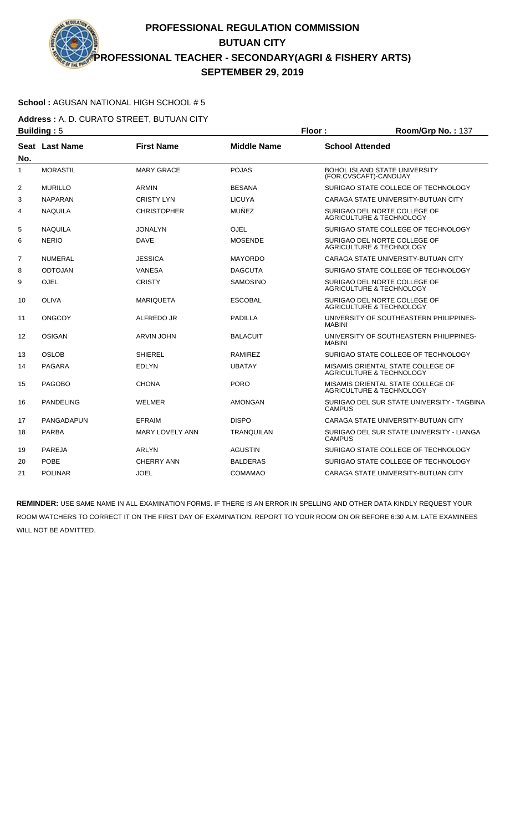### **School :** AGUSAN NATIONAL HIGH SCHOOL # 5

**Address :** A. D. CURATO STREET, BUTUAN CITY **Building :** 5 **Floor : Room/Grp No. :** 137

| No. | Seat Last Name   | <b>First Name</b>      | <b>Middle Name</b> | <b>School Attended</b>                                                   |
|-----|------------------|------------------------|--------------------|--------------------------------------------------------------------------|
| 1   | <b>MORASTIL</b>  | <b>MARY GRACE</b>      | <b>POJAS</b>       | <b>BOHOL ISLAND STATE UNIVERSITY</b><br>(FOR.CVSCAFT)-CANDIJAY           |
| 2   | <b>MURILLO</b>   | <b>ARMIN</b>           | <b>BESANA</b>      | SURIGAO STATE COLLEGE OF TECHNOLOGY                                      |
| 3   | <b>NAPARAN</b>   | <b>CRISTY LYN</b>      | <b>LICUYA</b>      | CARAGA STATE UNIVERSITY-BUTUAN CITY                                      |
| 4   | <b>NAQUILA</b>   | <b>CHRISTOPHER</b>     | <b>MUÑEZ</b>       | SURIGAO DEL NORTE COLLEGE OF<br><b>AGRICULTURE &amp; TECHNOLOGY</b>      |
| 5   | <b>NAQUILA</b>   | <b>JONALYN</b>         | <b>OJEL</b>        | SURIGAO STATE COLLEGE OF TECHNOLOGY                                      |
| 6   | <b>NERIO</b>     | <b>DAVE</b>            | <b>MOSENDE</b>     | SURIGAO DEL NORTE COLLEGE OF<br><b>AGRICULTURE &amp; TECHNOLOGY</b>      |
| 7   | <b>NUMERAL</b>   | <b>JESSICA</b>         | <b>MAYORDO</b>     | CARAGA STATE UNIVERSITY-BUTUAN CITY                                      |
| 8   | <b>ODTOJAN</b>   | <b>VANESA</b>          | <b>DAGCUTA</b>     | SURIGAO STATE COLLEGE OF TECHNOLOGY                                      |
| 9   | <b>OJEL</b>      | <b>CRISTY</b>          | SAMOSINO           | SURIGAO DEL NORTE COLLEGE OF<br>AGRICULTURE & TECHNOLOGY                 |
| 10  | <b>OLIVA</b>     | <b>MARIQUETA</b>       | <b>ESCOBAL</b>     | SURIGAO DEL NORTE COLLEGE OF<br><b>AGRICULTURE &amp; TECHNOLOGY</b>      |
| 11  | <b>ONGCOY</b>    | ALFREDO JR             | <b>PADILLA</b>     | UNIVERSITY OF SOUTHEASTERN PHILIPPINES-<br><b>MABINI</b>                 |
| 12  | <b>OSIGAN</b>    | <b>ARVIN JOHN</b>      | <b>BALACUIT</b>    | UNIVERSITY OF SOUTHEASTERN PHILIPPINES-<br><b>MABINI</b>                 |
| 13  | <b>OSLOB</b>     | <b>SHIEREL</b>         | <b>RAMIREZ</b>     | SURIGAO STATE COLLEGE OF TECHNOLOGY                                      |
| 14  | <b>PAGARA</b>    | <b>EDLYN</b>           | <b>UBATAY</b>      | MISAMIS ORIENTAL STATE COLLEGE OF<br><b>AGRICULTURE &amp; TECHNOLOGY</b> |
| 15  | <b>PAGOBO</b>    | <b>CHONA</b>           | <b>PORO</b>        | MISAMIS ORIENTAL STATE COLLEGE OF<br><b>AGRICULTURE &amp; TECHNOLOGY</b> |
| 16  | <b>PANDELING</b> | <b>WELMER</b>          | <b>AMONGAN</b>     | SURIGAO DEL SUR STATE UNIVERSITY - TAGBINA<br><b>CAMPUS</b>              |
| 17  | PANGADAPUN       | <b>EFRAIM</b>          | <b>DISPO</b>       | CARAGA STATE UNIVERSITY-BUTUAN CITY                                      |
| 18  | <b>PARBA</b>     | <b>MARY LOVELY ANN</b> | <b>TRANQUILAN</b>  | SURIGAO DEL SUR STATE UNIVERSITY - LIANGA<br><b>CAMPUS</b>               |
| 19  | <b>PAREJA</b>    | <b>ARLYN</b>           | <b>AGUSTIN</b>     | SURIGAO STATE COLLEGE OF TECHNOLOGY                                      |
| 20  | <b>POBE</b>      | <b>CHERRY ANN</b>      | <b>BALDERAS</b>    | SURIGAO STATE COLLEGE OF TECHNOLOGY                                      |
| 21  | <b>POLINAR</b>   | <b>JOEL</b>            | COMAMAO            | CARAGA STATE UNIVERSITY-BUTUAN CITY                                      |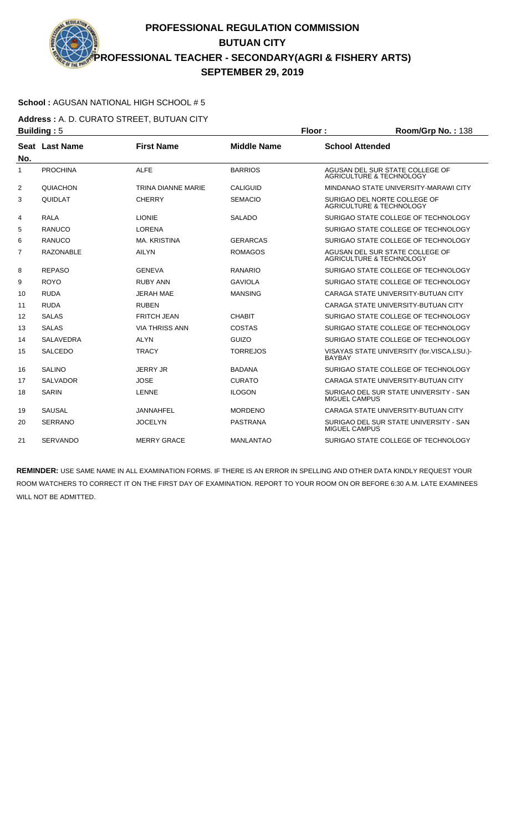### **School :** AGUSAN NATIONAL HIGH SCHOOL # 5

**Address :** A. D. CURATO STREET, BUTUAN CITY **Building :** 5 **Floor : Room/Grp No. :** 138

| No.            | Seat Last Name   | <b>First Name</b>         | <b>Middle Name</b> | <b>School Attended</b>                                                 |
|----------------|------------------|---------------------------|--------------------|------------------------------------------------------------------------|
| 1              | <b>PROCHINA</b>  | <b>ALFE</b>               | <b>BARRIOS</b>     | AGUSAN DEL SUR STATE COLLEGE OF<br><b>AGRICULTURE &amp; TECHNOLOGY</b> |
| $\overline{2}$ | <b>QUIACHON</b>  | <b>TRINA DIANNE MARIE</b> | <b>CALIGUID</b>    | MINDANAO STATE UNIVERSITY-MARAWI CITY                                  |
| 3              | <b>QUIDLAT</b>   | <b>CHERRY</b>             | <b>SEMACIO</b>     | SURIGAO DEL NORTE COLLEGE OF<br>AGRICULTURE & TECHNOLOGY               |
| 4              | <b>RALA</b>      | <b>LIONIE</b>             | <b>SALADO</b>      | SURIGAO STATE COLLEGE OF TECHNOLOGY                                    |
| 5              | RANUCO           | <b>LORENA</b>             |                    | SURIGAO STATE COLLEGE OF TECHNOLOGY                                    |
| 6              | RANUCO           | <b>MA, KRISTINA</b>       | <b>GERARCAS</b>    | SURIGAO STATE COLLEGE OF TECHNOLOGY                                    |
| 7              | <b>RAZONABLE</b> | <b>AILYN</b>              | <b>ROMAGOS</b>     | AGUSAN DEL SUR STATE COLLEGE OF<br><b>AGRICULTURE &amp; TECHNOLOGY</b> |
| 8              | <b>REPASO</b>    | <b>GENEVA</b>             | <b>RANARIO</b>     | SURIGAO STATE COLLEGE OF TECHNOLOGY                                    |
| 9              | <b>ROYO</b>      | <b>RUBY ANN</b>           | <b>GAVIOLA</b>     | SURIGAO STATE COLLEGE OF TECHNOLOGY                                    |
| 10             | <b>RUDA</b>      | <b>JERAH MAE</b>          | <b>MANSING</b>     | CARAGA STATE UNIVERSITY-BUTUAN CITY                                    |
| 11             | <b>RUDA</b>      | <b>RUBEN</b>              |                    | CARAGA STATE UNIVERSITY-BUTUAN CITY                                    |
| 12             | <b>SALAS</b>     | <b>FRITCH JEAN</b>        | <b>CHABIT</b>      | SURIGAO STATE COLLEGE OF TECHNOLOGY                                    |
| 13             | <b>SALAS</b>     | <b>VIA THRISS ANN</b>     | COSTAS             | SURIGAO STATE COLLEGE OF TECHNOLOGY                                    |
| 14             | <b>SALAVEDRA</b> | <b>ALYN</b>               | GUIZO              | SURIGAO STATE COLLEGE OF TECHNOLOGY                                    |
| 15             | <b>SALCEDO</b>   | <b>TRACY</b>              | <b>TORREJOS</b>    | VISAYAS STATE UNIVERSITY (for.VISCA,LSU.)-<br><b>BAYBAY</b>            |
| 16             | <b>SALINO</b>    | <b>JERRY JR</b>           | <b>BADANA</b>      | SURIGAO STATE COLLEGE OF TECHNOLOGY                                    |
| 17             | <b>SALVADOR</b>  | <b>JOSE</b>               | <b>CURATO</b>      | CARAGA STATE UNIVERSITY-BUTUAN CITY                                    |
| 18             | <b>SARIN</b>     | <b>LENNE</b>              | <b>ILOGON</b>      | SURIGAO DEL SUR STATE UNIVERSITY - SAN<br><b>MIGUEL CAMPUS</b>         |
| 19             | <b>SAUSAL</b>    | <b>JANNAHFEL</b>          | <b>MORDENO</b>     | CARAGA STATE UNIVERSITY-BUTUAN CITY                                    |
| 20             | <b>SERRANO</b>   | <b>JOCELYN</b>            | <b>PASTRANA</b>    | SURIGAO DEL SUR STATE UNIVERSITY - SAN<br><b>MIGUEL CAMPUS</b>         |
| 21             | <b>SERVANDO</b>  | <b>MERRY GRACE</b>        | <b>MANLANTAO</b>   | SURIGAO STATE COLLEGE OF TECHNOLOGY                                    |